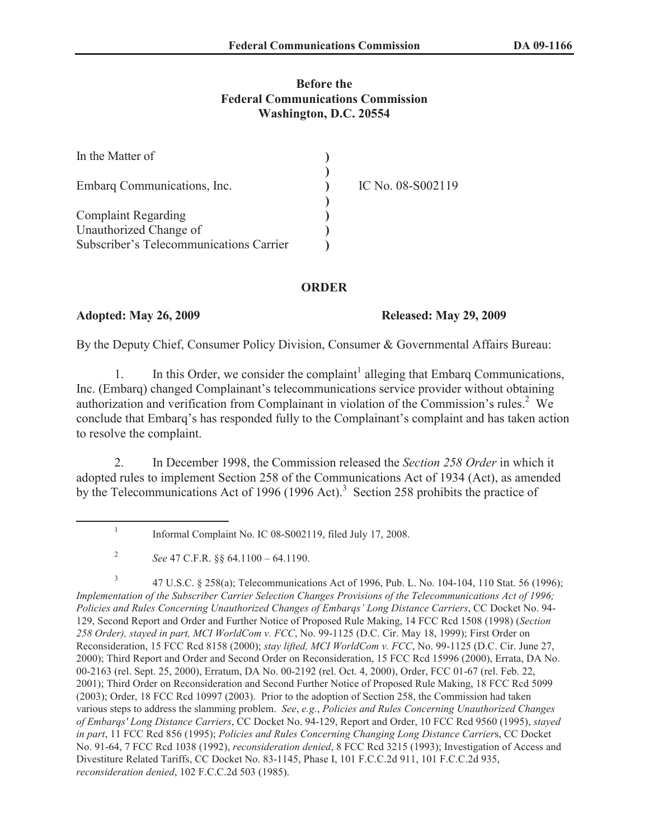## **Before the Federal Communications Commission Washington, D.C. 20554**

| In the Matter of                        |                   |
|-----------------------------------------|-------------------|
| Embarg Communications, Inc.             | IC No. 08-S002119 |
|                                         |                   |
| <b>Complaint Regarding</b>              |                   |
| Unauthorized Change of                  |                   |
| Subscriber's Telecommunications Carrier |                   |

### **ORDER**

### **Adopted: May 26, 2009 Released: May 29, 2009**

By the Deputy Chief, Consumer Policy Division, Consumer & Governmental Affairs Bureau:

1. In this Order, we consider the complaint<sup>1</sup> alleging that Embarq Communications, Inc. (Embarq) changed Complainant's telecommunications service provider without obtaining authorization and verification from Complainant in violation of the Commission's rules.<sup>2</sup> We conclude that Embarq's has responded fully to the Complainant's complaint and has taken action to resolve the complaint.

2. In December 1998, the Commission released the *Section 258 Order* in which it adopted rules to implement Section 258 of the Communications Act of 1934 (Act), as amended by the Telecommunications Act of 1996 (1996 Act).<sup>3</sup> Section 258 prohibits the practice of

<sup>1</sup> Informal Complaint No. IC 08-S002119, filed July 17, 2008.

<sup>2</sup> *See* 47 C.F.R. §§ 64.1100 – 64.1190.

<sup>3</sup> 47 U.S.C. § 258(a); Telecommunications Act of 1996, Pub. L. No. 104-104, 110 Stat. 56 (1996); *Implementation of the Subscriber Carrier Selection Changes Provisions of the Telecommunications Act of 1996; Policies and Rules Concerning Unauthorized Changes of Embarqs' Long Distance Carriers*, CC Docket No. 94- 129, Second Report and Order and Further Notice of Proposed Rule Making, 14 FCC Rcd 1508 (1998) (*Section 258 Order), stayed in part, MCI WorldCom v. FCC*, No. 99-1125 (D.C. Cir. May 18, 1999); First Order on Reconsideration, 15 FCC Rcd 8158 (2000); *stay lifted, MCI WorldCom v. FCC*, No. 99-1125 (D.C. Cir. June 27, 2000); Third Report and Order and Second Order on Reconsideration, 15 FCC Rcd 15996 (2000), Errata, DA No. 00-2163 (rel. Sept. 25, 2000), Erratum, DA No. 00-2192 (rel. Oct. 4, 2000), Order, FCC 01-67 (rel. Feb. 22, 2001); Third Order on Reconsideration and Second Further Notice of Proposed Rule Making, 18 FCC Rcd 5099 (2003); Order, 18 FCC Rcd 10997 (2003). Prior to the adoption of Section 258, the Commission had taken various steps to address the slamming problem. *See*, *e.g.*, *Policies and Rules Concerning Unauthorized Changes of Embarqs' Long Distance Carriers*, CC Docket No. 94-129, Report and Order, 10 FCC Rcd 9560 (1995), *stayed in part*, 11 FCC Rcd 856 (1995); *Policies and Rules Concerning Changing Long Distance Carrier*s, CC Docket No. 91-64, 7 FCC Rcd 1038 (1992), *reconsideration denied*, 8 FCC Rcd 3215 (1993); Investigation of Access and Divestiture Related Tariffs, CC Docket No. 83-1145, Phase I, 101 F.C.C.2d 911, 101 F.C.C.2d 935, *reconsideration denied*, 102 F.C.C.2d 503 (1985).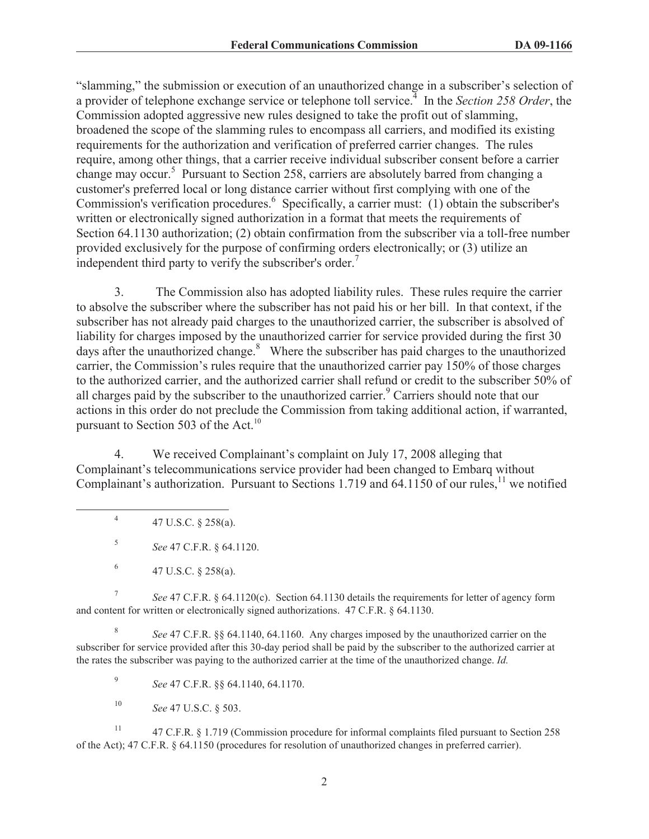"slamming," the submission or execution of an unauthorized change in a subscriber's selection of a provider of telephone exchange service or telephone toll service.<sup>4</sup> In the *Section 258 Order*, the Commission adopted aggressive new rules designed to take the profit out of slamming, broadened the scope of the slamming rules to encompass all carriers, and modified its existing requirements for the authorization and verification of preferred carrier changes. The rules require, among other things, that a carrier receive individual subscriber consent before a carrier change may occur.<sup>5</sup> Pursuant to Section 258, carriers are absolutely barred from changing a customer's preferred local or long distance carrier without first complying with one of the Commission's verification procedures.<sup>6</sup> Specifically, a carrier must: (1) obtain the subscriber's written or electronically signed authorization in a format that meets the requirements of Section 64.1130 authorization; (2) obtain confirmation from the subscriber via a toll-free number provided exclusively for the purpose of confirming orders electronically; or (3) utilize an independent third party to verify the subscriber's order.<sup>7</sup>

3. The Commission also has adopted liability rules. These rules require the carrier to absolve the subscriber where the subscriber has not paid his or her bill. In that context, if the subscriber has not already paid charges to the unauthorized carrier, the subscriber is absolved of liability for charges imposed by the unauthorized carrier for service provided during the first 30 days after the unauthorized change. $8$  Where the subscriber has paid charges to the unauthorized carrier, the Commission's rules require that the unauthorized carrier pay 150% of those charges to the authorized carrier, and the authorized carrier shall refund or credit to the subscriber 50% of all charges paid by the subscriber to the unauthorized carrier.<sup>9</sup> Carriers should note that our actions in this order do not preclude the Commission from taking additional action, if warranted, pursuant to Section 503 of the Act.<sup>10</sup>

4. We received Complainant's complaint on July 17, 2008 alleging that Complainant's telecommunications service provider had been changed to Embarq without Complainant's authorization. Pursuant to Sections 1.719 and 64.1150 of our rules, $11$  we notified

4 47 U.S.C. § 258(a).

5 *See* 47 C.F.R. § 64.1120.

7 *See* 47 C.F.R. § 64.1120(c). Section 64.1130 details the requirements for letter of agency form and content for written or electronically signed authorizations. 47 C.F.R. § 64.1130.

8 *See* 47 C.F.R. §§ 64.1140, 64.1160. Any charges imposed by the unauthorized carrier on the subscriber for service provided after this 30-day period shall be paid by the subscriber to the authorized carrier at the rates the subscriber was paying to the authorized carrier at the time of the unauthorized change. *Id.*

9 *See* 47 C.F.R. §§ 64.1140, 64.1170.

<sup>10</sup> *See* 47 U.S.C. § 503.

<sup>11</sup> 47 C.F.R. § 1.719 (Commission procedure for informal complaints filed pursuant to Section 258 of the Act); 47 C.F.R. § 64.1150 (procedures for resolution of unauthorized changes in preferred carrier).

<sup>6</sup> 47 U.S.C. § 258(a).